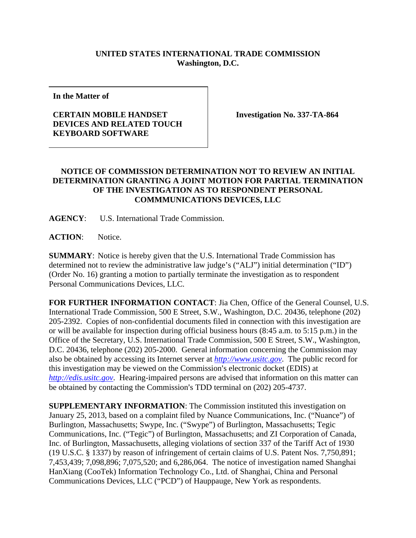## **UNITED STATES INTERNATIONAL TRADE COMMISSION Washington, D.C.**

**In the Matter of** 

## **CERTAIN MOBILE HANDSET DEVICES AND RELATED TOUCH KEYBOARD SOFTWARE**

**Investigation No. 337-TA-864** 

## **NOTICE OF COMMISSION DETERMINATION NOT TO REVIEW AN INITIAL DETERMINATION GRANTING A JOINT MOTION FOR PARTIAL TERMINATION OF THE INVESTIGATION AS TO RESPONDENT PERSONAL COMMMUNICATIONS DEVICES, LLC**

**AGENCY**: U.S. International Trade Commission.

**ACTION**: Notice.

**SUMMARY**: Notice is hereby given that the U.S. International Trade Commission has determined not to review the administrative law judge's ("ALJ") initial determination ("ID") (Order No. 16) granting a motion to partially terminate the investigation as to respondent Personal Communications Devices, LLC.

**FOR FURTHER INFORMATION CONTACT**: Jia Chen, Office of the General Counsel, U.S. International Trade Commission, 500 E Street, S.W., Washington, D.C. 20436, telephone (202) 205-2392. Copies of non-confidential documents filed in connection with this investigation are or will be available for inspection during official business hours (8:45 a.m. to 5:15 p.m.) in the Office of the Secretary, U.S. International Trade Commission, 500 E Street, S.W., Washington, D.C. 20436, telephone (202) 205-2000. General information concerning the Commission may also be obtained by accessing its Internet server at *http://www.usitc.gov*. The public record for this investigation may be viewed on the Commission's electronic docket (EDIS) at *http://edis.usitc.gov*. Hearing-impaired persons are advised that information on this matter can be obtained by contacting the Commission's TDD terminal on (202) 205-4737.

**SUPPLEMENTARY INFORMATION**: The Commission instituted this investigation on January 25, 2013, based on a complaint filed by Nuance Communications, Inc. ("Nuance") of Burlington, Massachusetts; Swype, Inc. ("Swype") of Burlington, Massachusetts; Tegic Communications, Inc. ("Tegic") of Burlington, Massachusetts; and ZI Corporation of Canada, Inc. of Burlington, Massachusetts, alleging violations of section 337 of the Tariff Act of 1930 (19 U.S.C. § 1337) by reason of infringement of certain claims of U.S. Patent Nos. 7,750,891; 7,453,439; 7,098,896; 7,075,520; and 6,286,064. The notice of investigation named Shanghai HanXiang (CooTek) Information Technology Co., Ltd. of Shanghai, China and Personal Communications Devices, LLC ("PCD") of Hauppauge, New York as respondents.